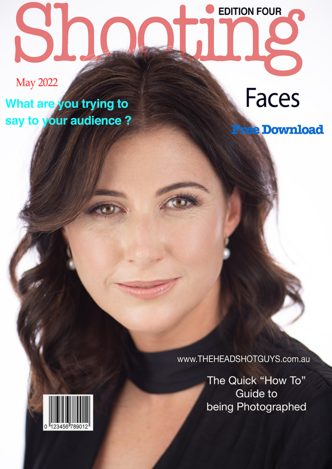## **EDITION FOUR**

**May 2022** 

What are you trying to say to your audience? **Faces** 

**Free Download** 

www.THEHEADSHOTGUYS.com.au

The Quick "How To" **Guide to** being Photographed

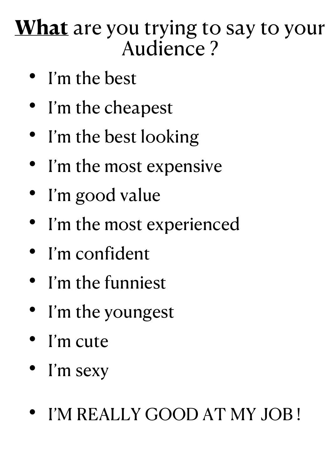## **What** are you trying to say to your Audience ?

- I'm the best
- I'm the cheapest
- I'm the best looking
- I'm the most expensive
- I'm good value
- I'm the most experienced
- I'm confident
- I'm the funniest
- I'm the youngest
- I'm cute
- I'm sexy
- I'M REALLY GOOD AT MY JOB !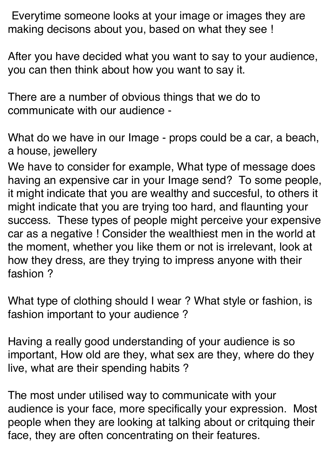Everytime someone looks at your image or images they are making decisons about you, based on what they see !

After you have decided what you want to say to your audience, you can then think about how you want to say it.

There are a number of obvious things that we do to communicate with our audience -

What do we have in our Image - props could be a car, a beach, a house, jewellery

We have to consider for example, What type of message does having an expensive car in your Image send? To some people, it might indicate that you are wealthy and succesful, to others it might indicate that you are trying too hard, and flaunting your success. These types of people might perceive your expensive car as a negative ! Consider the wealthiest men in the world at the moment, whether you like them or not is irrelevant, look at how they dress, are they trying to impress anyone with their fashion ?

What type of clothing should I wear ? What style or fashion, is fashion important to your audience ?

Having a really good understanding of your audience is so important, How old are they, what sex are they, where do they live, what are their spending habits ?

The most under utilised way to communicate with your audience is your face, more specifically your expression. Most people when they are looking at talking about or critquing their face, they are often concentrating on their features.